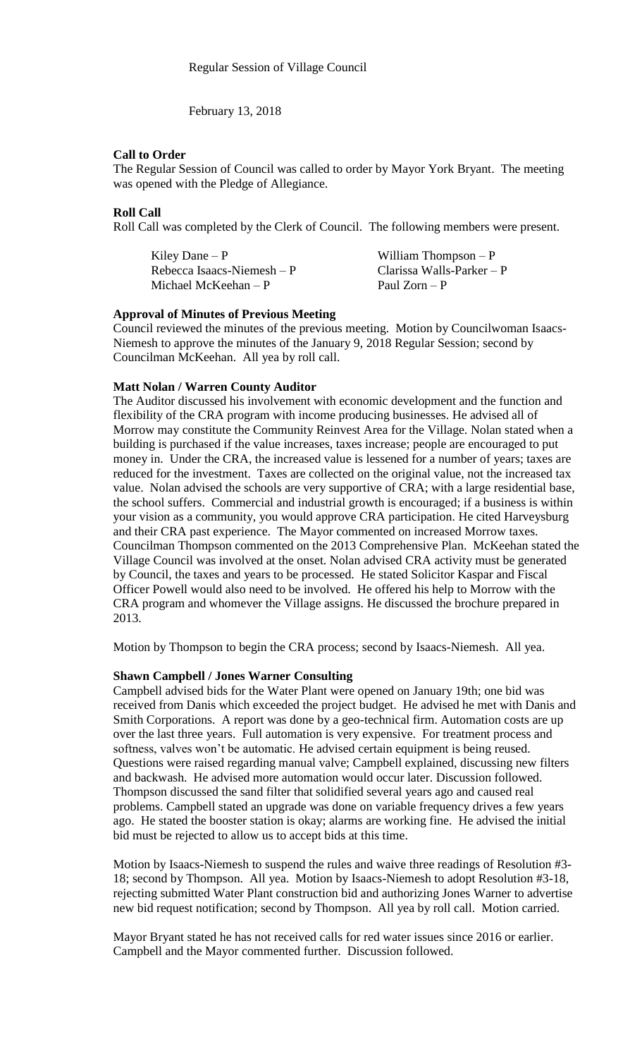February 13, 2018

### **Call to Order**

The Regular Session of Council was called to order by Mayor York Bryant. The meeting was opened with the Pledge of Allegiance.

# **Roll Call**

Roll Call was completed by the Clerk of Council. The following members were present.

| Kiley Dane $- P$           | William Thompson $-P$      |
|----------------------------|----------------------------|
| Rebecca Isaacs-Niemesh – P | Clarissa Walls-Parker $-P$ |
| Michael McKeehan – P       | Paul Zorn – P              |

### **Approval of Minutes of Previous Meeting**

Council reviewed the minutes of the previous meeting. Motion by Councilwoman Isaacs-Niemesh to approve the minutes of the January 9, 2018 Regular Session; second by Councilman McKeehan. All yea by roll call.

### **Matt Nolan / Warren County Auditor**

The Auditor discussed his involvement with economic development and the function and flexibility of the CRA program with income producing businesses. He advised all of Morrow may constitute the Community Reinvest Area for the Village. Nolan stated when a building is purchased if the value increases, taxes increase; people are encouraged to put money in. Under the CRA, the increased value is lessened for a number of years; taxes are reduced for the investment. Taxes are collected on the original value, not the increased tax value. Nolan advised the schools are very supportive of CRA; with a large residential base, the school suffers. Commercial and industrial growth is encouraged; if a business is within your vision as a community, you would approve CRA participation. He cited Harveysburg and their CRA past experience. The Mayor commented on increased Morrow taxes. Councilman Thompson commented on the 2013 Comprehensive Plan. McKeehan stated the Village Council was involved at the onset. Nolan advised CRA activity must be generated by Council, the taxes and years to be processed. He stated Solicitor Kaspar and Fiscal Officer Powell would also need to be involved. He offered his help to Morrow with the CRA program and whomever the Village assigns. He discussed the brochure prepared in 2013.

Motion by Thompson to begin the CRA process; second by Isaacs-Niemesh. All yea.

### **Shawn Campbell / Jones Warner Consulting**

Campbell advised bids for the Water Plant were opened on January 19th; one bid was received from Danis which exceeded the project budget. He advised he met with Danis and Smith Corporations. A report was done by a geo-technical firm. Automation costs are up over the last three years. Full automation is very expensive. For treatment process and softness, valves won't be automatic. He advised certain equipment is being reused. Questions were raised regarding manual valve; Campbell explained, discussing new filters and backwash. He advised more automation would occur later. Discussion followed. Thompson discussed the sand filter that solidified several years ago and caused real problems. Campbell stated an upgrade was done on variable frequency drives a few years ago. He stated the booster station is okay; alarms are working fine. He advised the initial bid must be rejected to allow us to accept bids at this time.

Motion by Isaacs-Niemesh to suspend the rules and waive three readings of Resolution #3- 18; second by Thompson. All yea. Motion by Isaacs-Niemesh to adopt Resolution #3-18, rejecting submitted Water Plant construction bid and authorizing Jones Warner to advertise new bid request notification; second by Thompson. All yea by roll call. Motion carried.

Mayor Bryant stated he has not received calls for red water issues since 2016 or earlier. Campbell and the Mayor commented further. Discussion followed.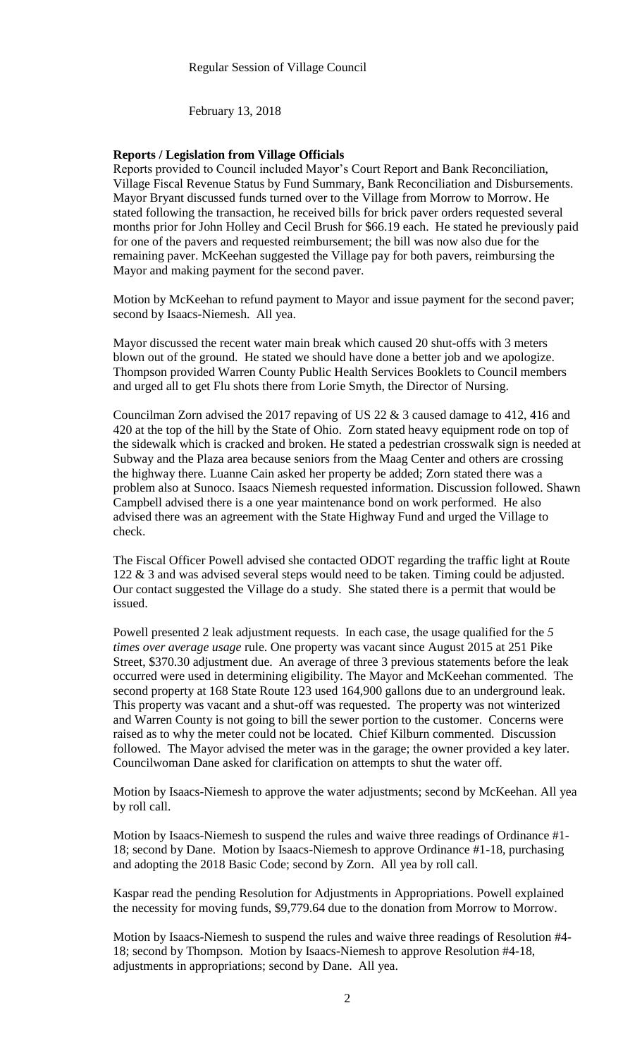February 13, 2018

### **Reports / Legislation from Village Officials**

Reports provided to Council included Mayor's Court Report and Bank Reconciliation, Village Fiscal Revenue Status by Fund Summary, Bank Reconciliation and Disbursements. Mayor Bryant discussed funds turned over to the Village from Morrow to Morrow. He stated following the transaction, he received bills for brick paver orders requested several months prior for John Holley and Cecil Brush for \$66.19 each. He stated he previously paid for one of the pavers and requested reimbursement; the bill was now also due for the remaining paver. McKeehan suggested the Village pay for both pavers, reimbursing the Mayor and making payment for the second paver.

Motion by McKeehan to refund payment to Mayor and issue payment for the second paver; second by Isaacs-Niemesh. All yea.

Mayor discussed the recent water main break which caused 20 shut-offs with 3 meters blown out of the ground. He stated we should have done a better job and we apologize. Thompson provided Warren County Public Health Services Booklets to Council members and urged all to get Flu shots there from Lorie Smyth, the Director of Nursing.

Councilman Zorn advised the 2017 repaving of US 22 & 3 caused damage to 412, 416 and 420 at the top of the hill by the State of Ohio. Zorn stated heavy equipment rode on top of the sidewalk which is cracked and broken. He stated a pedestrian crosswalk sign is needed at Subway and the Plaza area because seniors from the Maag Center and others are crossing the highway there. Luanne Cain asked her property be added; Zorn stated there was a problem also at Sunoco. Isaacs Niemesh requested information. Discussion followed. Shawn Campbell advised there is a one year maintenance bond on work performed. He also advised there was an agreement with the State Highway Fund and urged the Village to check.

The Fiscal Officer Powell advised she contacted ODOT regarding the traffic light at Route 122 & 3 and was advised several steps would need to be taken. Timing could be adjusted. Our contact suggested the Village do a study. She stated there is a permit that would be issued.

Powell presented 2 leak adjustment requests. In each case, the usage qualified for the *5 times over average usage* rule. One property was vacant since August 2015 at 251 Pike Street, \$370.30 adjustment due. An average of three 3 previous statements before the leak occurred were used in determining eligibility. The Mayor and McKeehan commented. The second property at 168 State Route 123 used 164,900 gallons due to an underground leak. This property was vacant and a shut-off was requested. The property was not winterized and Warren County is not going to bill the sewer portion to the customer. Concerns were raised as to why the meter could not be located. Chief Kilburn commented. Discussion followed. The Mayor advised the meter was in the garage; the owner provided a key later. Councilwoman Dane asked for clarification on attempts to shut the water off.

Motion by Isaacs-Niemesh to approve the water adjustments; second by McKeehan. All yea by roll call.

Motion by Isaacs-Niemesh to suspend the rules and waive three readings of Ordinance #1- 18; second by Dane. Motion by Isaacs-Niemesh to approve Ordinance #1-18, purchasing and adopting the 2018 Basic Code; second by Zorn. All yea by roll call.

Kaspar read the pending Resolution for Adjustments in Appropriations. Powell explained the necessity for moving funds, \$9,779.64 due to the donation from Morrow to Morrow.

Motion by Isaacs-Niemesh to suspend the rules and waive three readings of Resolution #4- 18; second by Thompson. Motion by Isaacs-Niemesh to approve Resolution #4-18, adjustments in appropriations; second by Dane. All yea.